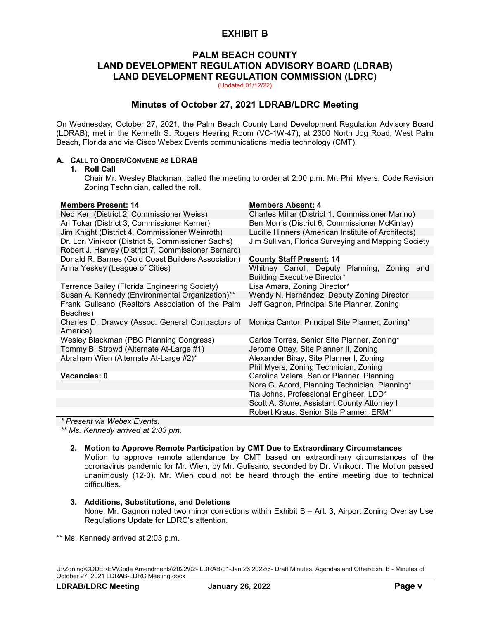## **EXHIBIT B**

## **PALM BEACH COUNTY LAND DEVELOPMENT REGULATION ADVISORY BOARD (LDRAB) LAND DEVELOPMENT REGULATION COMMISSION (LDRC)**

(Updated 01/12/22)

## **Minutes of October 27, 2021 LDRAB/LDRC Meeting**

On Wednesday, October 27, 2021, the Palm Beach County Land Development Regulation Advisory Board (LDRAB), met in the Kenneth S. Rogers Hearing Room (VC-1W-47), at 2300 North Jog Road, West Palm Beach, Florida and via Cisco Webex Events communications media technology (CMT).

### **A. CALL TO ORDER/CONVENE AS LDRAB**

#### **1. Roll Call**

Chair Mr. Wesley Blackman, called the meeting to order at 2:00 p.m. Mr. Phil Myers, Code Revision Zoning Technician, called the roll.

### **Members Present: 14 Members Absent: 4**

|                                                     | ר ווווטטארו טוטאוווטווי                             |
|-----------------------------------------------------|-----------------------------------------------------|
| Ned Kerr (District 2, Commissioner Weiss)           | Charles Millar (District 1, Commissioner Marino)    |
| Ari Tokar (District 3, Commissioner Kerner)         | Ben Morris (District 6, Commissioner McKinlay)      |
| Jim Knight (District 4, Commissioner Weinroth)      | Lucille Hinners (American Institute of Architects)  |
| Dr. Lori Vinikoor (District 5, Commissioner Sachs)  | Jim Sullivan, Florida Surveying and Mapping Society |
| Robert J. Harvey (District 7, Commissioner Bernard) |                                                     |
| Donald R. Barnes (Gold Coast Builders Association)  | <b>County Staff Present: 14</b>                     |
| Anna Yeskey (League of Cities)                      | Whitney Carroll, Deputy Planning, Zoning and        |
|                                                     | <b>Building Executive Director*</b>                 |
| Terrence Bailey (Florida Engineering Society)       | Lisa Amara, Zoning Director*                        |
| Susan A. Kennedy (Environmental Organization)**     | Wendy N. Hernández, Deputy Zoning Director          |
| Frank Gulisano (Realtors Association of the Palm    | Jeff Gagnon, Principal Site Planner, Zoning         |
| Beaches)                                            |                                                     |
| Charles D. Drawdy (Assoc. General Contractors of    | Monica Cantor, Principal Site Planner, Zoning*      |
| America)                                            |                                                     |
| Wesley Blackman (PBC Planning Congress)             | Carlos Torres, Senior Site Planner, Zoning*         |
| Tommy B. Strowd (Alternate At-Large #1)             | Jerome Ottey, Site Planner II, Zoning               |
| Abraham Wien (Alternate At-Large #2)*               | Alexander Biray, Site Planner I, Zoning             |
|                                                     | Phil Myers, Zoning Technician, Zoning               |
| Vacancies: 0                                        | Carolina Valera, Senior Planner, Planning           |
|                                                     | Nora G. Acord, Planning Technician, Planning*       |
|                                                     | Tia Johns, Professional Engineer, LDD*              |
|                                                     | Scott A. Stone, Assistant County Attorney I         |
|                                                     | Robert Kraus, Senior Site Planner, ERM*             |

*\* Present via Webex Events.*

*\*\* Ms. Kennedy arrived at 2:03 pm.*

#### **2. Motion to Approve Remote Participation by CMT Due to Extraordinary Circumstances**

Motion to approve remote attendance by CMT based on extraordinary circumstances of the coronavirus pandemic for Mr. Wien, by Mr. Gulisano, seconded by Dr. Vinikoor. The Motion passed unanimously (12-0). Mr. Wien could not be heard through the entire meeting due to technical difficulties.

#### **3. Additions, Substitutions, and Deletions**

None. Mr. Gagnon noted two minor corrections within Exhibit B – Art. 3, Airport Zoning Overlay Use Regulations Update for LDRC's attention.

\*\* Ms. Kennedy arrived at 2:03 p.m.

U:\Zoning\CODEREV\Code Amendments\2022\02- LDRAB\01-Jan 26 2022\6- Draft Minutes, Agendas and Other\Exh. B - Minutes of October 27, 2021 LDRAB-LDRC Meeting.docx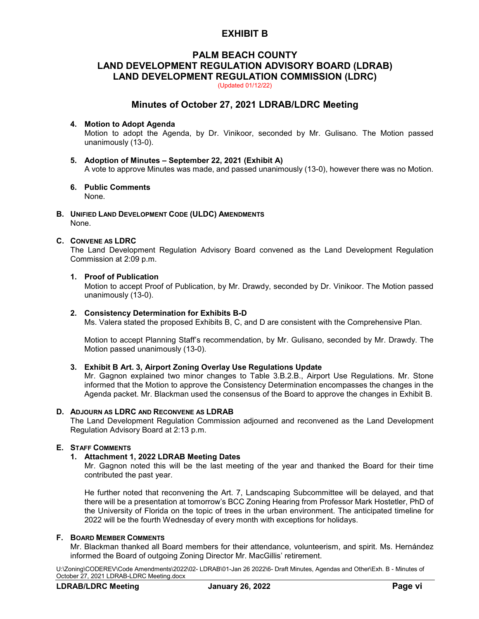## **EXHIBIT B**

# **PALM BEACH COUNTY LAND DEVELOPMENT REGULATION ADVISORY BOARD (LDRAB) LAND DEVELOPMENT REGULATION COMMISSION (LDRC)**

(Updated 01/12/22)

### **Minutes of October 27, 2021 LDRAB/LDRC Meeting**

### **4. Motion to Adopt Agenda**

Motion to adopt the Agenda, by Dr. Vinikoor, seconded by Mr. Gulisano. The Motion passed unanimously (13-0).

- **5. Adoption of Minutes – September 22, 2021 (Exhibit A)** A vote to approve Minutes was made, and passed unanimously (13-0), however there was no Motion.
- **6. Public Comments** None.
- **B. UNIFIED LAND DEVELOPMENT CODE (ULDC) AMENDMENTS** None.

### **C. CONVENE AS LDRC**

The Land Development Regulation Advisory Board convened as the Land Development Regulation Commission at 2:09 p.m.

#### **1. Proof of Publication**

Motion to accept Proof of Publication, by Mr. Drawdy, seconded by Dr. Vinikoor. The Motion passed unanimously (13-0).

#### **2. Consistency Determination for Exhibits B-D**

Ms. Valera stated the proposed Exhibits B, C, and D are consistent with the Comprehensive Plan.

Motion to accept Planning Staff's recommendation, by Mr. Gulisano, seconded by Mr. Drawdy. The Motion passed unanimously (13-0).

#### **3. Exhibit B Art. 3, Airport Zoning Overlay Use Regulations Update**

Mr. Gagnon explained two minor changes to Table 3.B.2.B., Airport Use Regulations. Mr. Stone informed that the Motion to approve the Consistency Determination encompasses the changes in the Agenda packet. Mr. Blackman used the consensus of the Board to approve the changes in Exhibit B.

### **D. ADJOURN AS LDRC AND RECONVENE AS LDRAB**

The Land Development Regulation Commission adjourned and reconvened as the Land Development Regulation Advisory Board at 2:13 p.m.

#### **E. STAFF COMMENTS**

#### **1. Attachment 1, 2022 LDRAB Meeting Dates**

Mr. Gagnon noted this will be the last meeting of the year and thanked the Board for their time contributed the past year.

He further noted that reconvening the Art. 7, Landscaping Subcommittee will be delayed, and that there will be a presentation at tomorrow's BCC Zoning Hearing from Professor Mark Hostetler, PhD of the University of Florida on the topic of trees in the urban environment. The anticipated timeline for 2022 will be the fourth Wednesday of every month with exceptions for holidays.

#### **F. BOARD MEMBER COMMENTS**

Mr. Blackman thanked all Board members for their attendance, volunteerism, and spirit. Ms. Hernández informed the Board of outgoing Zoning Director Mr. MacGillis' retirement.

U:\Zoning\CODEREV\Code Amendments\2022\02- LDRAB\01-Jan 26 2022\6- Draft Minutes, Agendas and Other\Exh. B - Minutes of October 27, 2021 LDRAB-LDRC Meeting.docx